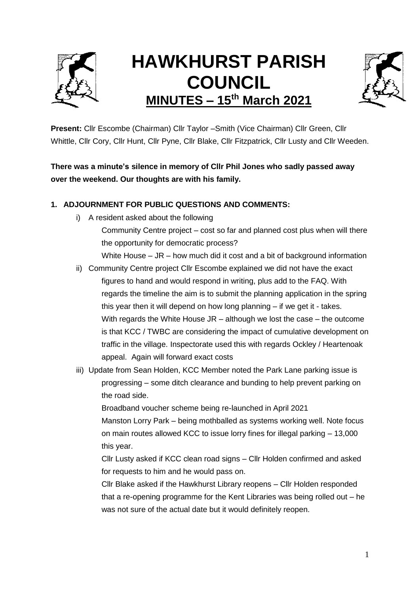

# **HAWKHURST PARISH COUNCIL MINUTES – 15th March 2021**



**Present:** Cllr Escombe (Chairman) Cllr Taylor –Smith (Vice Chairman) Cllr Green, Cllr Whittle, Cllr Cory, Cllr Hunt, Cllr Pyne, Cllr Blake, Cllr Fitzpatrick, Cllr Lusty and Cllr Weeden.

**There was a minute's silence in memory of Cllr Phil Jones who sadly passed away over the weekend. Our thoughts are with his family.**

## **1. ADJOURNMENT FOR PUBLIC QUESTIONS AND COMMENTS:**

i) A resident asked about the following

Community Centre project – cost so far and planned cost plus when will there the opportunity for democratic process?

White House  $-$  JR  $-$  how much did it cost and a bit of background information

- ii) Community Centre project Cllr Escombe explained we did not have the exact figures to hand and would respond in writing, plus add to the FAQ. With regards the timeline the aim is to submit the planning application in the spring this year then it will depend on how long planning – if we get it - takes. With regards the White House JR – although we lost the case – the outcome is that KCC / TWBC are considering the impact of cumulative development on traffic in the village. Inspectorate used this with regards Ockley / Heartenoak appeal. Again will forward exact costs
- iii) Update from Sean Holden, KCC Member noted the Park Lane parking issue is progressing – some ditch clearance and bunding to help prevent parking on the road side.

Broadband voucher scheme being re-launched in April 2021

Manston Lorry Park – being mothballed as systems working well. Note focus on main routes allowed KCC to issue lorry fines for illegal parking – 13,000 this year.

Cllr Lusty asked if KCC clean road signs – Cllr Holden confirmed and asked for requests to him and he would pass on.

Cllr Blake asked if the Hawkhurst Library reopens – Cllr Holden responded that a re-opening programme for the Kent Libraries was being rolled out – he was not sure of the actual date but it would definitely reopen.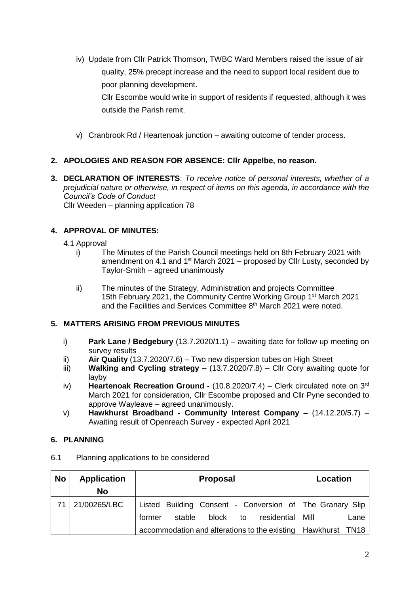iv) Update from Cllr Patrick Thomson, TWBC Ward Members raised the issue of air quality, 25% precept increase and the need to support local resident due to poor planning development.

Cllr Escombe would write in support of residents if requested, although it was outside the Parish remit.

v) Cranbrook Rd / Heartenoak junction – awaiting outcome of tender process.

#### **2. APOLOGIES AND REASON FOR ABSENCE: Cllr Appelbe, no reason.**

**3. DECLARATION OF INTERESTS**: *To receive notice of personal interests, whether of a prejudicial nature or otherwise, in respect of items on this agenda, in accordance with the Council's Code of Conduct* Cllr Weeden – planning application 78

## **4. APPROVAL OF MINUTES:**

- 4.1 Approval
	- i) The Minutes of the Parish Council meetings held on 8th February 2021 with amendment on 4.1 and  $1<sup>st</sup>$  March 2021 – proposed by Cllr Lusty, seconded by Taylor-Smith – agreed unanimously
	- ii) The minutes of the Strategy, Administration and projects Committee 15th February 2021, the Community Centre Working Group 1st March 2021 and the Facilities and Services Committee 8<sup>th</sup> March 2021 were noted.

#### **5. MATTERS ARISING FROM PREVIOUS MINUTES**

- i) **Park Lane / Bedgebury** (13.7.2020/1.1) awaiting date for follow up meeting on survey results
- ii) **Air Quality** (13.7.2020/7.6) Two new dispersion tubes on High Street
- iii) **Walking and Cycling strategy**  (13.7.2020/7.8) Cllr Cory awaiting quote for layby
- iv) **Heartenoak Recreation Ground -** (10.8.2020/7.4) Clerk circulated note on 3rd March 2021 for consideration, Cllr Escombe proposed and Cllr Pyne seconded to approve Wayleave – agreed unanimously.
- v) **Hawkhurst Broadband - Community Interest Company –** (14.12.20/5.7) Awaiting result of Openreach Survey - expected April 2021

## **6. PLANNING**

| <b>No</b> | <b>Application</b> | <b>Proposal</b>                                                | Location |
|-----------|--------------------|----------------------------------------------------------------|----------|
|           | <b>No</b>          |                                                                |          |
| 71        | 21/00265/LBC       | Listed Building Consent - Conversion of The Granary Slip       |          |
|           |                    | stable<br>block<br>residential   Mill<br>to<br>former          | Lane     |
|           |                    | accommodation and alterations to the existing   Hawkhurst TN18 |          |

6.1 Planning applications to be considered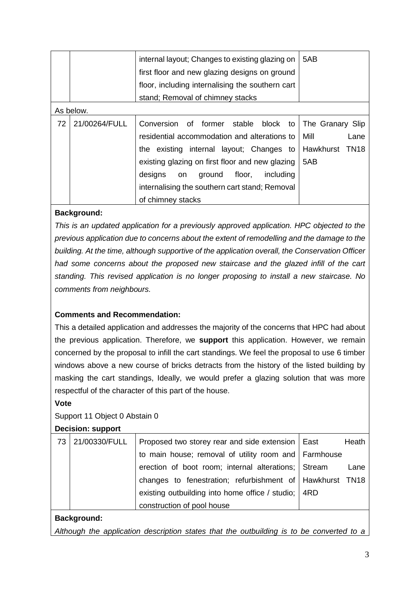|    |               | internal layout; Changes to existing glazing on<br>first floor and new glazing designs on ground | 5AB                           |
|----|---------------|--------------------------------------------------------------------------------------------------|-------------------------------|
|    |               | floor, including internalising the southern cart                                                 |                               |
|    |               | stand; Removal of chimney stacks                                                                 |                               |
|    | As below.     |                                                                                                  |                               |
| 72 | 21/00264/FULL | Conversion of former<br>stable block to                                                          | The Granary Slip              |
|    |               | residential accommodation and alterations to                                                     | Mill<br>Lane                  |
|    |               | the existing internal layout; Changes to                                                         | Hawkhurst<br>TN <sub>18</sub> |
|    |               | existing glazing on first floor and new glazing                                                  | 5AB                           |
|    |               | designs<br>floor,<br>including<br>ground<br>on                                                   |                               |
|    |               | internalising the southern cart stand; Removal                                                   |                               |
|    |               | of chimney stacks                                                                                |                               |

#### **Background:**

*This is an updated application for a previously approved application. HPC objected to the previous application due to concerns about the extent of remodelling and the damage to the building. At the time, although supportive of the application overall, the Conservation Officer had some concerns about the proposed new staircase and the glazed infill of the cart standing. This revised application is no longer proposing to install a new staircase. No comments from neighbours.*

## **Comments and Recommendation:**

This a detailed application and addresses the majority of the concerns that HPC had about the previous application. Therefore, we **support** this application. However, we remain concerned by the proposal to infill the cart standings. We feel the proposal to use 6 timber windows above a new course of bricks detracts from the history of the listed building by masking the cart standings, Ideally, we would prefer a glazing solution that was more respectful of the character of this part of the house.

## **Vote**

## Support 11 Object 0 Abstain 0

#### **Decision: support**

| 73 | 21/00330/FULL | Proposed two storey rear and side extension   East       | Heath |
|----|---------------|----------------------------------------------------------|-------|
|    |               | to main house; removal of utility room and Farmhouse     |       |
|    |               | erection of boot room; internal alterations; Stream      | Lane  |
|    |               | changes to fenestration; refurbishment of Hawkhurst TN18 |       |
|    |               | existing outbuilding into home office / studio;   4RD    |       |
|    |               | construction of pool house                               |       |

## **Background:**

*Although the application description states that the outbuilding is to be converted to a*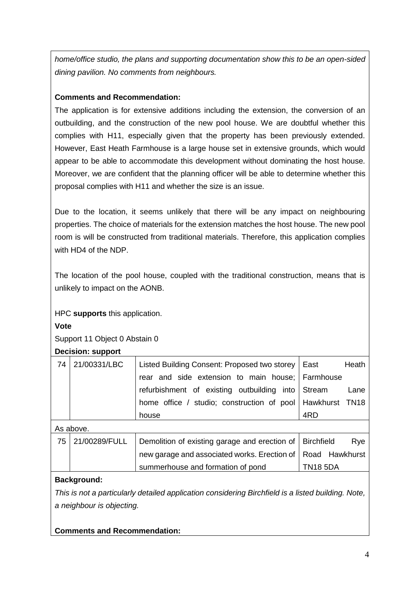*home/office studio, the plans and supporting documentation show this to be an open-sided dining pavilion. No comments from neighbours.*

# **Comments and Recommendation:**

The application is for extensive additions including the extension, the conversion of an outbuilding, and the construction of the new pool house. We are doubtful whether this complies with H11, especially given that the property has been previously extended. However, East Heath Farmhouse is a large house set in extensive grounds, which would appear to be able to accommodate this development without dominating the host house. Moreover, we are confident that the planning officer will be able to determine whether this proposal complies with H11 and whether the size is an issue.

Due to the location, it seems unlikely that there will be any impact on neighbouring properties. The choice of materials for the extension matches the host house. The new pool room is will be constructed from traditional materials. Therefore, this application complies with HD4 of the NDP.

The location of the pool house, coupled with the traditional construction, means that is unlikely to impact on the AONB.

## HPC **supports** this application.

**Vote**

Support 11 Object 0 Abstain 0

#### **Decision: support**

| 74 | 21/00331/LBC  | Listed Building Consent: Proposed two storey  | East              | Heath |
|----|---------------|-----------------------------------------------|-------------------|-------|
|    |               | rear and side extension to main house;        | Farmhouse         |       |
|    |               | refurbishment of existing outbuilding into    | Stream            | Lane  |
|    |               | home office / studio; construction of pool    | Hawkhurst TN18    |       |
|    |               | house                                         | 4RD               |       |
|    | As above.     |                                               |                   |       |
| 75 | 21/00289/FULL | Demolition of existing garage and erection of | <b>Birchfield</b> | Rye   |
|    |               | new garage and associated works. Erection of  | Road Hawkhurst    |       |
|    |               | summerhouse and formation of pond             | <b>TN18 5DA</b>   |       |

## **Background:**

*This is not a particularly detailed application considering Birchfield is a listed building. Note, a neighbour is objecting.*

**Comments and Recommendation:**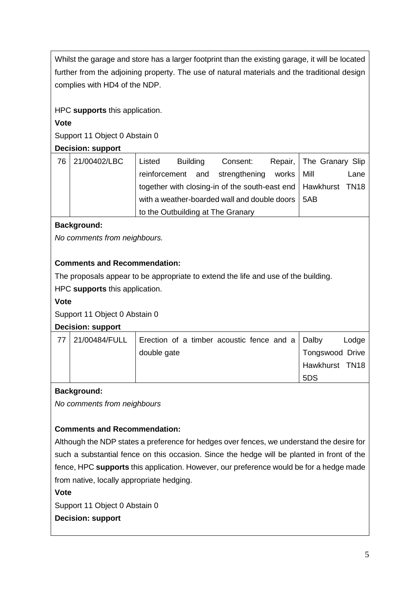Whilst the garage and store has a larger footprint than the existing garage, it will be located further from the adjoining property. The use of natural materials and the traditional design complies with HD4 of the NDP.

HPC **supports** this application.

# **Vote**

Support 11 Object 0 Abstain 0

# **Decision: support**

| 76 | 21/00402/LBC | Listed | <b>Building</b> | Consent:                                                        |              | Repair, The Granary Slip |      |
|----|--------------|--------|-----------------|-----------------------------------------------------------------|--------------|--------------------------|------|
|    |              |        |                 | reinforcement and strengthening                                 | works   Mill |                          | Lane |
|    |              |        |                 | together with closing-in of the south-east end   Hawkhurst TN18 |              |                          |      |
|    |              |        |                 | with a weather-boarded wall and double doors   5AB              |              |                          |      |
|    |              |        |                 | to the Outbuilding at The Granary                               |              |                          |      |

# **Background:**

*No comments from neighbours.*

# **Comments and Recommendation:**

The proposals appear to be appropriate to extend the life and use of the building.

HPC **supports** this application.

## **Vote**

Support 11 Object 0 Abstain 0

## **Decision: support**

| 21/00484/FULL | Erection of a timber acoustic fence and a $\vert$ Dalby |                 | Lodge |
|---------------|---------------------------------------------------------|-----------------|-------|
|               | double gate                                             | Tongswood Drive |       |
|               |                                                         | Hawkhurst TN18  |       |
|               |                                                         | 5DS             |       |

# **Background:**

*No comments from neighbours*

# **Comments and Recommendation:**

Although the NDP states a preference for hedges over fences, we understand the desire for such a substantial fence on this occasion. Since the hedge will be planted in front of the fence, HPC **supports** this application. However, our preference would be for a hedge made from native, locally appropriate hedging.

## **Vote**

Support 11 Object 0 Abstain 0

**Decision: support**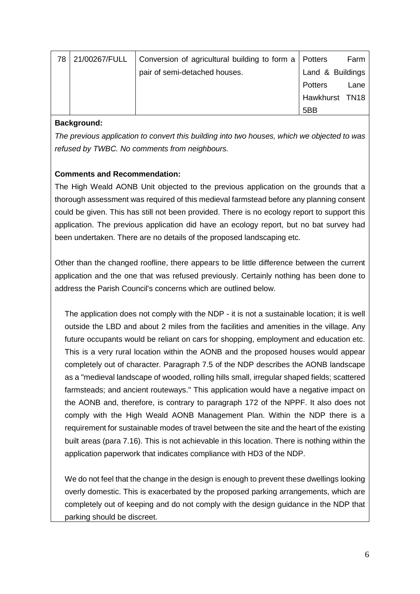| 78 | 21/00267/FULL | Conversion of agricultural building to form a   Potters |                  | Farm |
|----|---------------|---------------------------------------------------------|------------------|------|
|    |               | pair of semi-detached houses.                           | Land & Buildings |      |
|    |               |                                                         | Potters          | Lane |
|    |               |                                                         | Hawkhurst TN18   |      |
|    |               |                                                         | 5BB              |      |

#### **Background:**

*The previous application to convert this building into two houses, which we objected to was refused by TWBC. No comments from neighbours.*

## **Comments and Recommendation:**

The High Weald AONB Unit objected to the previous application on the grounds that a thorough assessment was required of this medieval farmstead before any planning consent could be given. This has still not been provided. There is no ecology report to support this application. The previous application did have an ecology report, but no bat survey had been undertaken. There are no details of the proposed landscaping etc.

Other than the changed roofline, there appears to be little difference between the current application and the one that was refused previously. Certainly nothing has been done to address the Parish Council's concerns which are outlined below.

The application does not comply with the NDP - it is not a sustainable location; it is well outside the LBD and about 2 miles from the facilities and amenities in the village. Any future occupants would be reliant on cars for shopping, employment and education etc. This is a very rural location within the AONB and the proposed houses would appear completely out of character. Paragraph 7.5 of the NDP describes the AONB landscape as a "medieval landscape of wooded, rolling hills small, irregular shaped fields; scattered farmsteads; and ancient routeways." This application would have a negative impact on the AONB and, therefore, is contrary to paragraph 172 of the NPPF. It also does not comply with the High Weald AONB Management Plan. Within the NDP there is a requirement for sustainable modes of travel between the site and the heart of the existing built areas (para 7.16). This is not achievable in this location. There is nothing within the application paperwork that indicates compliance with HD3 of the NDP.

We do not feel that the change in the design is enough to prevent these dwellings looking overly domestic. This is exacerbated by the proposed parking arrangements, which are completely out of keeping and do not comply with the design guidance in the NDP that parking should be discreet.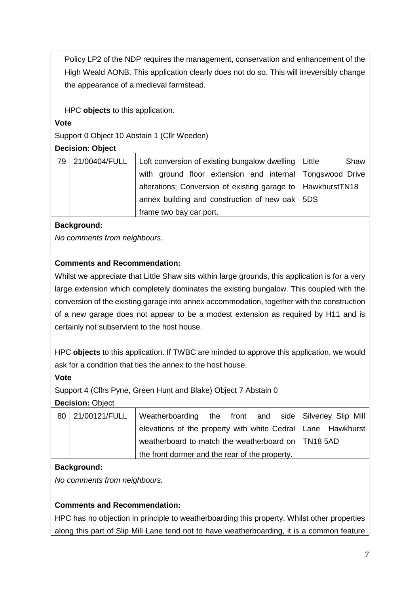Policy LP2 of the NDP requires the management, conservation and enhancement of the High Weald AONB. This application clearly does not do so. This will irreversibly change the appearance of a medieval farmstead.

HPC **objects** to this application.

#### **Vote**

Support 0 Object 10 Abstain 1 (Cllr Weeden)

#### **Decision: Object**

| 79 | 21/00404/FULL   Loft conversion of existing bungalow dwelling   Little | Shaw |  |
|----|------------------------------------------------------------------------|------|--|
|    | with ground floor extension and internal Tongswood Drive               |      |  |
|    | alterations; Conversion of existing garage to   HawkhurstTN18          |      |  |
|    | annex building and construction of new oak 5DS                         |      |  |
|    | frame two bay car port.                                                |      |  |

# **Background:**

*No comments from neighbours.*

# **Comments and Recommendation:**

Whilst we appreciate that Little Shaw sits within large grounds, this application is for a very large extension which completely dominates the existing bungalow. This coupled with the conversion of the existing garage into annex accommodation, together with the construction of a new garage does not appear to be a modest extension as required by H11 and is certainly not subservient to the host house.

HPC **objects** to this application. If TWBC are minded to approve this application, we would ask for a condition that ties the annex to the host house.

#### **Vote**

Support 4 (Cllrs Pyne, Green Hunt and Blake) Object 7 Abstain 0

## **Decision:** Object

| 80 21/00121/FULL | Weatherboarding the front and side Silverley Slip Mill        |  |  |
|------------------|---------------------------------------------------------------|--|--|
|                  | elevations of the property with white Cedral   Lane Hawkhurst |  |  |
|                  | weatherboard to match the weatherboard on   TN18 5AD          |  |  |
|                  | the front dormer and the rear of the property.                |  |  |

## **Background:**

*No comments from neighbours.*

## **Comments and Recommendation:**

HPC has no objection in principle to weatherboarding this property. Whilst other properties along this part of Slip Mill Lane tend not to have weatherboarding, it is a common feature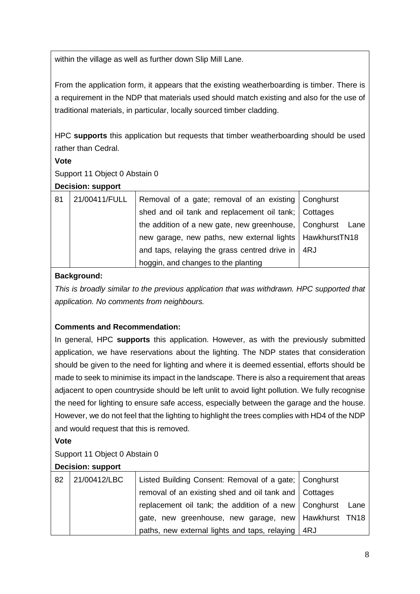within the village as well as further down Slip Mill Lane.

From the application form, it appears that the existing weatherboarding is timber. There is a requirement in the NDP that materials used should match existing and also for the use of traditional materials, in particular, locally sourced timber cladding.

HPC **supports** this application but requests that timber weatherboarding should be used rather than Cedral.

#### **Vote**

Support 11 Object 0 Abstain 0

#### **Decision: support**

| 81 | 21/00411/FULL | Removal of a gate; removal of an existing Conghurst        |  |
|----|---------------|------------------------------------------------------------|--|
|    |               | shed and oil tank and replacement oil tank;   Cottages     |  |
|    |               | the addition of a new gate, new greenhouse, Conghurst Lane |  |
|    |               | new garage, new paths, new external lights   HawkhurstTN18 |  |
|    |               | and taps, relaying the grass centred drive in $ $ 4RJ      |  |
|    |               | hoggin, and changes to the planting                        |  |

# **Background:**

*This is broadly similar to the previous application that was withdrawn. HPC supported that application. No comments from neighbours.*

## **Comments and Recommendation:**

In general, HPC **supports** this application. However, as with the previously submitted application, we have reservations about the lighting. The NDP states that consideration should be given to the need for lighting and where it is deemed essential, efforts should be made to seek to minimise its impact in the landscape. There is also a requirement that areas adjacent to open countryside should be left unlit to avoid light pollution. We fully recognise the need for lighting to ensure safe access, especially between the garage and the house. However, we do not feel that the lighting to highlight the trees complies with HD4 of the NDP and would request that this is removed.

## **Vote**

## Support 11 Object 0 Abstain 0

## **Decision: support**

| 82 | 21/00412/LBC | Listed Building Consent: Removal of a gate;   Conghurst      |  |
|----|--------------|--------------------------------------------------------------|--|
|    |              | removal of an existing shed and oil tank and   Cottages      |  |
|    |              | replacement oil tank; the addition of a new   Conghurst Lane |  |
|    |              | gate, new greenhouse, new garage, new   Hawkhurst TN18       |  |
|    |              | paths, new external lights and taps, relaying   4RJ          |  |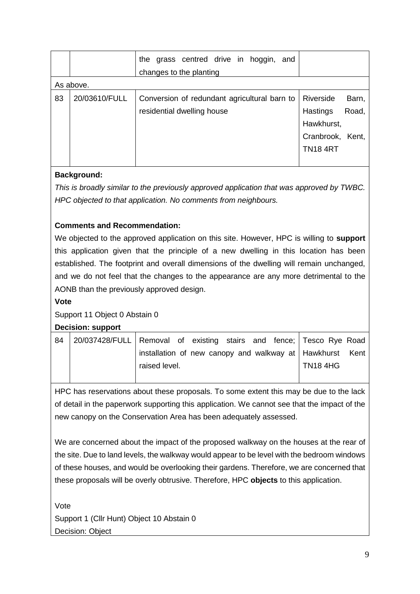|    |               | grass centred drive in hoggin, and<br>the<br>changes to the planting |                    |
|----|---------------|----------------------------------------------------------------------|--------------------|
|    | As above.     |                                                                      |                    |
| 83 | 20/03610/FULL | Conversion of redundant agricultural barn to                         | Riverside<br>Barn, |
|    |               | residential dwelling house                                           | Road,<br>Hastings  |
|    |               |                                                                      | Hawkhurst,         |
|    |               |                                                                      | Cranbrook, Kent,   |
|    |               |                                                                      | <b>TN18 4RT</b>    |
|    |               |                                                                      |                    |

# **Background:**

*This is broadly similar to the previously approved application that was approved by TWBC. HPC objected to that application. No comments from neighbours.*

## **Comments and Recommendation:**

We objected to the approved application on this site. However, HPC is willing to **support** this application given that the principle of a new dwelling in this location has been established. The footprint and overall dimensions of the dwelling will remain unchanged, and we do not feel that the changes to the appearance are any more detrimental to the AONB than the previously approved design.

**Vote**

## Support 11 Object 0 Abstain 0

#### **Decision: support**

| 84 | 20/037428/FULL Removal of existing stairs and fence; Tesco Rye Road |                                                            |  |  |          |  |
|----|---------------------------------------------------------------------|------------------------------------------------------------|--|--|----------|--|
|    |                                                                     | installation of new canopy and walkway at   Hawkhurst Kent |  |  |          |  |
|    |                                                                     | raised level.                                              |  |  | TN18 4HG |  |
|    |                                                                     |                                                            |  |  |          |  |

HPC has reservations about these proposals. To some extent this may be due to the lack of detail in the paperwork supporting this application. We cannot see that the impact of the new canopy on the Conservation Area has been adequately assessed.

We are concerned about the impact of the proposed walkway on the houses at the rear of the site. Due to land levels, the walkway would appear to be level with the bedroom windows of these houses, and would be overlooking their gardens. Therefore, we are concerned that these proposals will be overly obtrusive. Therefore, HPC **objects** to this application.

Vote Support 1 (Cllr Hunt) Object 10 Abstain 0 Decision: Object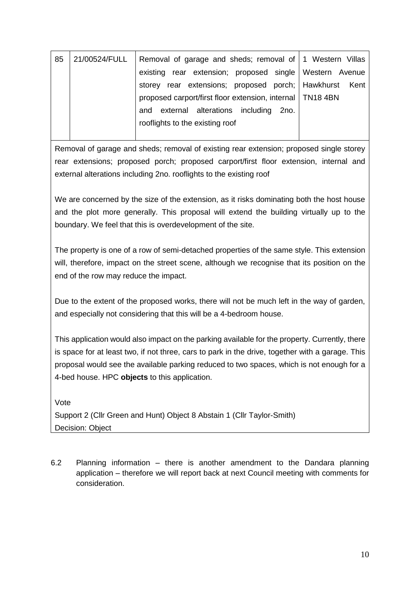| 85 | 21/00524/FULL | Removal of garage and sheds; removal of 1 Western Villas    |  |
|----|---------------|-------------------------------------------------------------|--|
|    |               | existing rear extension; proposed single Western Avenue     |  |
|    |               | storey rear extensions; proposed porch; Hawkhurst Kent      |  |
|    |               | proposed carport/first floor extension, internal   TN18 4BN |  |
|    |               | and external alterations including 2no.                     |  |
|    |               | rooflights to the existing roof                             |  |
|    |               |                                                             |  |

Removal of garage and sheds; removal of existing rear extension; proposed single storey rear extensions; proposed porch; proposed carport/first floor extension, internal and external alterations including 2no. rooflights to the existing roof

We are concerned by the size of the extension, as it risks dominating both the host house and the plot more generally. This proposal will extend the building virtually up to the boundary. We feel that this is overdevelopment of the site.

The property is one of a row of semi-detached properties of the same style. This extension will, therefore, impact on the street scene, although we recognise that its position on the end of the row may reduce the impact.

Due to the extent of the proposed works, there will not be much left in the way of garden, and especially not considering that this will be a 4-bedroom house.

This application would also impact on the parking available for the property. Currently, there is space for at least two, if not three, cars to park in the drive, together with a garage. This proposal would see the available parking reduced to two spaces, which is not enough for a 4-bed house. HPC **objects** to this application.

Vote Support 2 (Cllr Green and Hunt) Object 8 Abstain 1 (Cllr Taylor-Smith) Decision: Object

6.2 Planning information – there is another amendment to the Dandara planning application – therefore we will report back at next Council meeting with comments for consideration.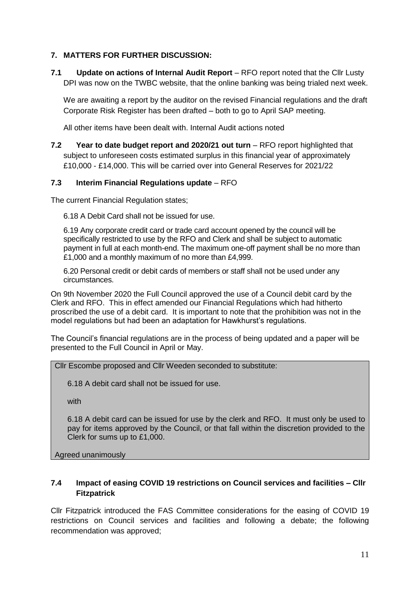#### **7. MATTERS FOR FURTHER DISCUSSION:**

**7.1 Update on actions of Internal Audit Report** – RFO report noted that the Cllr Lusty DPI was now on the TWBC website, that the online banking was being trialed next week.

We are awaiting a report by the auditor on the revised Financial regulations and the draft Corporate Risk Register has been drafted – both to go to April SAP meeting.

All other items have been dealt with. Internal Audit actions noted

**7.2 Year to date budget report and 2020/21 out turn** – RFO report highlighted that subject to unforeseen costs estimated surplus in this financial year of approximately £10,000 - £14,000. This will be carried over into General Reserves for 2021/22

#### **7.3 Interim Financial Regulations update** – RFO

The current Financial Regulation states;

6.18 A Debit Card shall not be issued for use.

6.19 Any corporate credit card or trade card account opened by the council will be specifically restricted to use by the RFO and Clerk and shall be subject to automatic payment in full at each month-end. The maximum one-off payment shall be no more than £1,000 and a monthly maximum of no more than £4,999.

6.20 Personal credit or debit cards of members or staff shall not be used under any circumstances.

On 9th November 2020 the Full Council approved the use of a Council debit card by the Clerk and RFO. This in effect amended our Financial Regulations which had hitherto proscribed the use of a debit card. It is important to note that the prohibition was not in the model regulations but had been an adaptation for Hawkhurst's regulations.

The Council's financial regulations are in the process of being updated and a paper will be presented to the Full Council in April or May.

#### Cllr Escombe proposed and Cllr Weeden seconded to substitute:

6.18 A debit card shall not be issued for use.

with

6.18 A debit card can be issued for use by the clerk and RFO. It must only be used to pay for items approved by the Council, or that fall within the discretion provided to the Clerk for sums up to £1,000.

Agreed unanimously

#### **7.4 Impact of easing COVID 19 restrictions on Council services and facilities – Cllr Fitzpatrick**

Cllr Fitzpatrick introduced the FAS Committee considerations for the easing of COVID 19 restrictions on Council services and facilities and following a debate; the following recommendation was approved;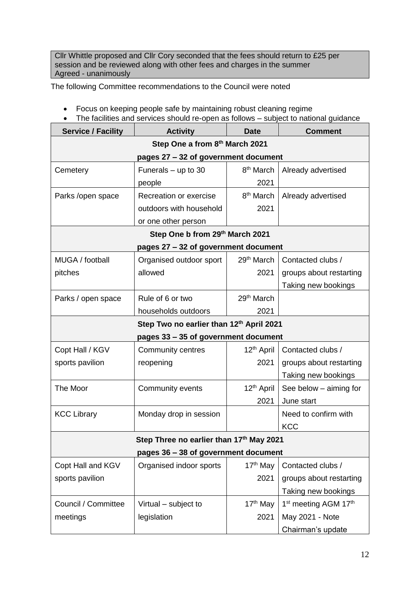Cllr Whittle proposed and Cllr Cory seconded that the fees should return to £25 per session and be reviewed along with other fees and charges in the summer Agreed - unanimously

The following Committee recommendations to the Council were noted

- Focus on keeping people safe by maintaining robust cleaning regime
- The facilities and services should re-open as follows subject to national guidance

| <b>Service / Facility</b>                | <b>Activity</b>                          |                        | <b>Comment</b>                               |  |  |  |
|------------------------------------------|------------------------------------------|------------------------|----------------------------------------------|--|--|--|
| Step One a from 8th March 2021           |                                          |                        |                                              |  |  |  |
| pages 27 - 32 of government document     |                                          |                        |                                              |  |  |  |
| Cemetery                                 | Funerals $-$ up to 30                    | 8 <sup>th</sup> March  | Already advertised                           |  |  |  |
|                                          | people                                   | 2021                   |                                              |  |  |  |
| Parks /open space                        | Recreation or exercise                   | 8 <sup>th</sup> March  | Already advertised                           |  |  |  |
|                                          | outdoors with household                  | 2021                   |                                              |  |  |  |
|                                          | or one other person                      |                        |                                              |  |  |  |
|                                          | Step One b from 29th March 2021          |                        |                                              |  |  |  |
|                                          | pages 27 - 32 of government document     |                        |                                              |  |  |  |
| MUGA / football                          | Organised outdoor sport                  | 29 <sup>th</sup> March | Contacted clubs /                            |  |  |  |
| pitches                                  | allowed                                  | 2021                   | groups about restarting                      |  |  |  |
|                                          |                                          |                        | Taking new bookings                          |  |  |  |
| Parks / open space                       | Rule of 6 or two                         | 29 <sup>th</sup> March |                                              |  |  |  |
|                                          | households outdoors                      | 2021                   |                                              |  |  |  |
| Step Two no earlier than 12th April 2021 |                                          |                        |                                              |  |  |  |
| pages 33 - 35 of government document     |                                          |                        |                                              |  |  |  |
| Copt Hall / KGV                          | Community centres                        | 12 <sup>th</sup> April | Contacted clubs /                            |  |  |  |
| sports pavilion                          | reopening                                | 2021                   | groups about restarting                      |  |  |  |
|                                          |                                          |                        | Taking new bookings                          |  |  |  |
| The Moor                                 | Community events                         | 12 <sup>th</sup> April | See below - aiming for                       |  |  |  |
|                                          |                                          | 2021                   | June start                                   |  |  |  |
| <b>KCC Library</b>                       | Monday drop in session                   |                        | Need to confirm with                         |  |  |  |
|                                          |                                          |                        | <b>KCC</b>                                   |  |  |  |
|                                          | Step Three no earlier than 17th May 2021 |                        |                                              |  |  |  |
| pages 36 - 38 of government document     |                                          |                        |                                              |  |  |  |
| Copt Hall and KGV                        | Organised indoor sports                  | $17th$ May             | Contacted clubs /                            |  |  |  |
| sports pavilion                          |                                          | 2021                   | groups about restarting                      |  |  |  |
|                                          |                                          |                        | Taking new bookings                          |  |  |  |
| Council / Committee                      | Virtual – subject to                     | 17 <sup>th</sup> May   | 1 <sup>st</sup> meeting AGM 17 <sup>th</sup> |  |  |  |
| meetings                                 | legislation                              | 2021                   | May 2021 - Note                              |  |  |  |
|                                          |                                          |                        | Chairman's update                            |  |  |  |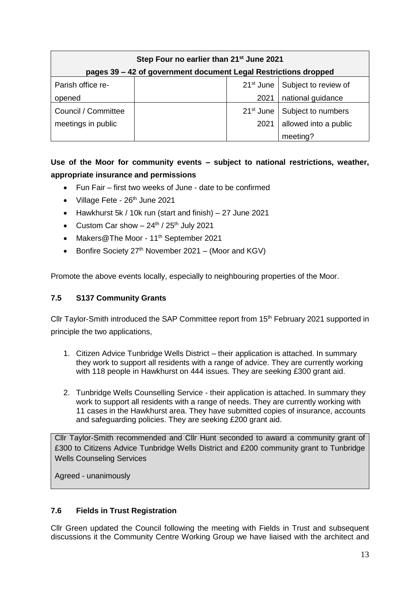| Step Four no earlier than 21 <sup>st</sup> June 2021            |  |      |                                              |  |  |
|-----------------------------------------------------------------|--|------|----------------------------------------------|--|--|
| pages 39 – 42 of government document Legal Restrictions dropped |  |      |                                              |  |  |
| Parish office re-                                               |  |      | 21 <sup>st</sup> June   Subject to review of |  |  |
| opened                                                          |  | 2021 | national guidance                            |  |  |
| Council / Committee                                             |  |      | 21 <sup>st</sup> June   Subject to numbers   |  |  |
| meetings in public                                              |  | 2021 | allowed into a public                        |  |  |
|                                                                 |  |      | meeting?                                     |  |  |

# **Use of the Moor for community events – subject to national restrictions, weather, appropriate insurance and permissions**

- Fun Fair first two weeks of June date to be confirmed
- $\bullet$  Village Fete 26<sup>th</sup> June 2021
- Hawkhurst 5k / 10k run (start and finish) 27 June 2021
- Custom Car show  $-24^{\text{th}}$  /  $25^{\text{th}}$  July 2021
- Makers@The Moor 11<sup>th</sup> September 2021
- Bonfire Society  $27<sup>th</sup>$  November 2021 (Moor and KGV)

Promote the above events locally, especially to neighbouring properties of the Moor.

#### **7.5 S137 Community Grants**

Cllr Taylor-Smith introduced the SAP Committee report from 15<sup>th</sup> February 2021 supported in principle the two applications,

- 1. Citizen Advice Tunbridge Wells District their application is attached. In summary they work to support all residents with a range of advice. They are currently working with 118 people in Hawkhurst on 444 issues. They are seeking £300 grant aid.
- 2. Tunbridge Wells Counselling Service their application is attached. In summary they work to support all residents with a range of needs. They are currently working with 11 cases in the Hawkhurst area. They have submitted copies of insurance, accounts and safeguarding policies. They are seeking £200 grant aid.

Cllr Taylor-Smith recommended and Cllr Hunt seconded to award a community grant of £300 to Citizens Advice Tunbridge Wells District and £200 community grant to Tunbridge Wells Counseling Services

Agreed - unanimously

#### **7.6 Fields in Trust Registration**

Cllr Green updated the Council following the meeting with Fields in Trust and subsequent discussions it the Community Centre Working Group we have liaised with the architect and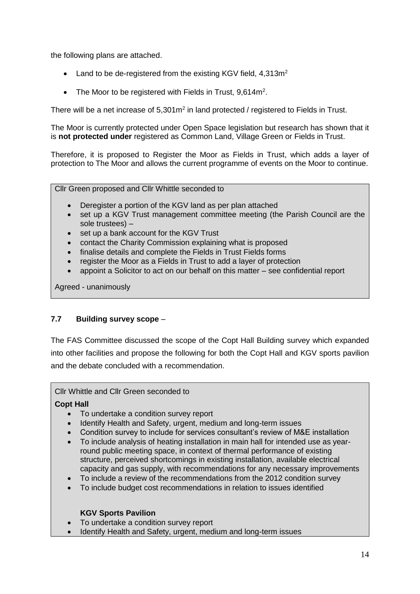the following plans are attached.

- Land to be de-registered from the existing KGV field,  $4.313m<sup>2</sup>$
- The Moor to be registered with Fields in Trust,  $9.614m^2$ .

There will be a net increase of  $5,301\text{m}^2$  in land protected / registered to Fields in Trust.

The Moor is currently protected under Open Space legislation but research has shown that it is **not protected under** registered as Common Land, Village Green or Fields in Trust.

Therefore, it is proposed to Register the Moor as Fields in Trust, which adds a layer of protection to The Moor and allows the current programme of events on the Moor to continue.

Cllr Green proposed and Cllr Whittle seconded to

- Deregister a portion of the KGV land as per plan attached
- set up a KGV Trust management committee meeting (the Parish Council are the sole trustees) –
- set up a bank account for the KGV Trust
- contact the Charity Commission explaining what is proposed
- finalise details and complete the Fields in Trust Fields forms
- register the Moor as a Fields in Trust to add a layer of protection
- appoint a Solicitor to act on our behalf on this matter see confidential report

Agreed - unanimously

#### **7.7 Building survey scope** –

The FAS Committee discussed the scope of the Copt Hall Building survey which expanded into other facilities and propose the following for both the Copt Hall and KGV sports pavilion and the debate concluded with a recommendation.

Cllr Whittle and Cllr Green seconded to

#### **Copt Hall**

- To undertake a condition survey report
- Identify Health and Safety, urgent, medium and long-term issues
- Condition survey to include for services consultant's review of M&E installation
- To include analysis of heating installation in main hall for intended use as yearround public meeting space, in context of thermal performance of existing structure, perceived shortcomings in existing installation, available electrical capacity and gas supply, with recommendations for any necessary improvements
- To include a review of the recommendations from the 2012 condition survey
- To include budget cost recommendations in relation to issues identified

#### **KGV Sports Pavilion**

- To undertake a condition survey report
- Identify Health and Safety, urgent, medium and long-term issues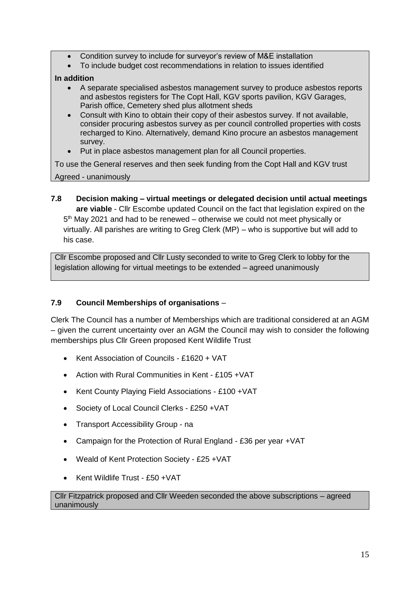- Condition survey to include for surveyor's review of M&E installation
- To include budget cost recommendations in relation to issues identified

#### **In addition**

- A separate specialised asbestos management survey to produce asbestos reports and asbestos registers for The Copt Hall, KGV sports pavilion, KGV Garages, Parish office, Cemetery shed plus allotment sheds
- Consult with Kino to obtain their copy of their asbestos survey. If not available, consider procuring asbestos survey as per council controlled properties with costs recharged to Kino. Alternatively, demand Kino procure an asbestos management survey.
- Put in place asbestos management plan for all Council properties.

To use the General reserves and then seek funding from the Copt Hall and KGV trust Agreed - unanimously

**7.8 Decision making – virtual meetings or delegated decision until actual meetings are viable** - Cllr Escombe updated Council on the fact that legislation expired on the 5<sup>th</sup> May 2021 and had to be renewed – otherwise we could not meet physically or virtually. All parishes are writing to Greg Clerk (MP) – who is supportive but will add to his case.

Cllr Escombe proposed and Cllr Lusty seconded to write to Greg Clerk to lobby for the legislation allowing for virtual meetings to be extended – agreed unanimously

#### **7.9 Council Memberships of organisations** –

Clerk The Council has a number of Memberships which are traditional considered at an AGM – given the current uncertainty over an AGM the Council may wish to consider the following memberships plus Cllr Green proposed Kent Wildlife Trust

- Kent Association of Councils £1620 + VAT
- Action with Rural Communities in Kent £105 +VAT
- Kent County Playing Field Associations £100 +VAT
- Society of Local Council Clerks £250 +VAT
- Transport Accessibility Group na
- Campaign for the Protection of Rural England £36 per year +VAT
- Weald of Kent Protection Society £25 +VAT
- Kent Wildlife Trust £50 +VAT

#### Cllr Fitzpatrick proposed and Cllr Weeden seconded the above subscriptions – agreed unanimously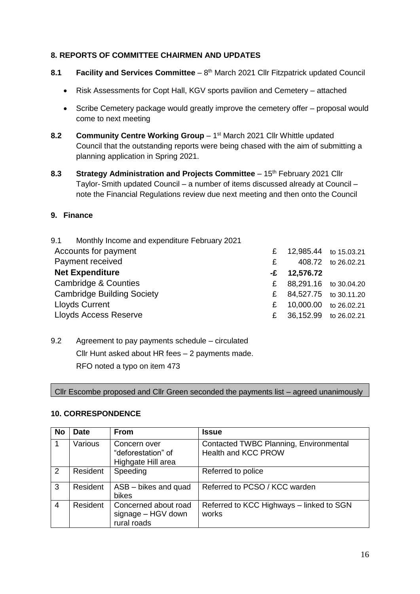#### **8. REPORTS OF COMMITTEE CHAIRMEN AND UPDATES**

- 8.1 **Facility and Services Committee** 8<sup>th</sup> March 2021 Cllr Fitzpatrick updated Council
	- Risk Assessments for Copt Hall, KGV sports pavilion and Cemetery attached
	- Scribe Cemetery package would greatly improve the cemetery offer proposal would come to next meeting
- 8.2 Community Centre Working Group 1<sup>st</sup> March 2021 Cllr Whittle updated Council that the outstanding reports were being chased with the aim of submitting a planning application in Spring 2021.
- **8.3 Strategy Administration and Projects Committee** 15<sup>th</sup> February 2021 Cllr Taylor-Smith updated Council – a number of items discussed already at Council – note the Financial Regulations review due next meeting and then onto the Council

#### **9. Finance**

| 9.1 Monthly Income and expenditure February 2021 |   |                       |                    |
|--------------------------------------------------|---|-----------------------|--------------------|
| Accounts for payment                             | £ | 12,985.44 to 15.03.21 |                    |
| Payment received                                 | £ |                       | 408.72 to 26.02.21 |
| <b>Net Expenditure</b>                           |   | $-E$ 12,576.72        |                    |
| <b>Cambridge &amp; Counties</b>                  | £ | 88,291.16 to 30.04.20 |                    |
| <b>Cambridge Building Society</b>                | £ | 84,527.75 to 30.11.20 |                    |
| <b>Lloyds Current</b>                            | £ | 10,000.00 to 26.02.21 |                    |
| <b>Lloyds Access Reserve</b>                     | £ | 36,152.99 to 26.02.21 |                    |

9.2 Agreement to pay payments schedule – circulated Cllr Hunt asked about HR fees – 2 payments made. RFO noted a typo on item 473

Cllr Escombe proposed and Cllr Green seconded the payments list – agreed unanimously

#### **10. CORRESPONDENCE**

| <b>No</b>      | <b>Date</b> | <b>From</b>                                               | <b>Issue</b>                                                  |
|----------------|-------------|-----------------------------------------------------------|---------------------------------------------------------------|
|                | Various     | Concern over<br>"deforestation" of<br>Highgate Hill area  | Contacted TWBC Planning, Environmental<br>Health and KCC PROW |
| 2              | Resident    | Speeding                                                  | Referred to police                                            |
| 3              | Resident    | ASB - bikes and quad<br>bikes                             | Referred to PCSO / KCC warden                                 |
| $\overline{4}$ | Resident    | Concerned about road<br>signage - HGV down<br>rural roads | Referred to KCC Highways - linked to SGN<br>works             |